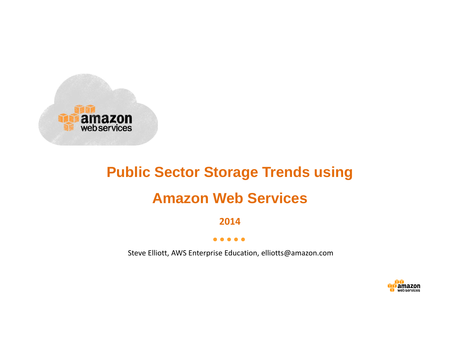

# **Public Sector Storage Trends using Amazon Web Services**

**2014**

#### $\bullet\bullet\bullet$  $\bullet$

Steve Elliott, AWS Enterprise Education, elliotts@amazon.com

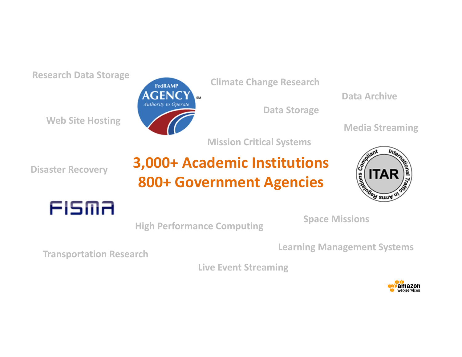**Research Data Storage**

**Web Site Hosting**



**Climate Change Research**

**Data Storage**

**Data Archive**

**Media Streaming**

**Mission Critical Systems**

**Disaster Recovery**

## **3,000+ Academic Institutions 800+ Government Agencies**





**Space Missions**

**High Performance Computing**

**Learning Management Systems Transportation Research**

**Live Event Streaming**

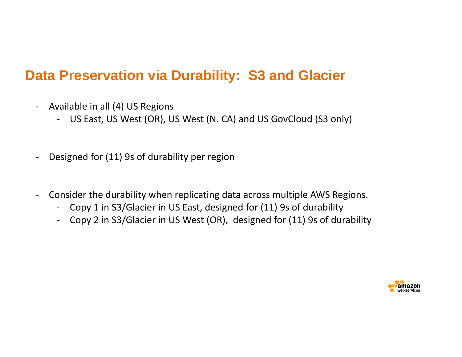#### **Data Preservation via Durability: S3 and Glacier**

- $\blacksquare$ - Available in all (4) US Regions
	- ‐ US East, US West (OR), US West (N. CA) and US GovCloud (S3 only)
- $\overline{\phantom{a}}$ Designed for (11) 9s of durability per region
- ‐ Consider the durability when replicating data across multiple AWS Regions.
	- ‐ Copy 1 in S3/Glacier in US East, designed for (11) 9s of durability
	- ‐ Copy 2 in S3/Glacier in US West (OR), designed for (11) 9s of durability

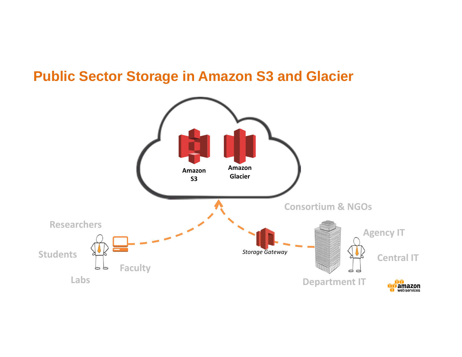#### **Public Sector Storage in Amazon S3 and Glacier**

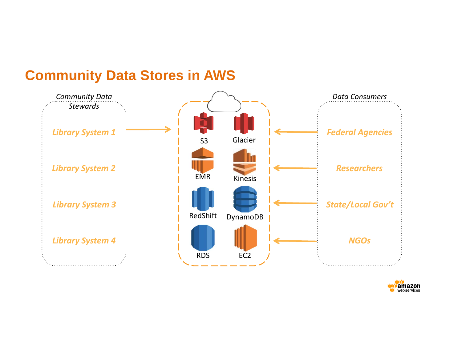#### **Community Data Stores in AWS**



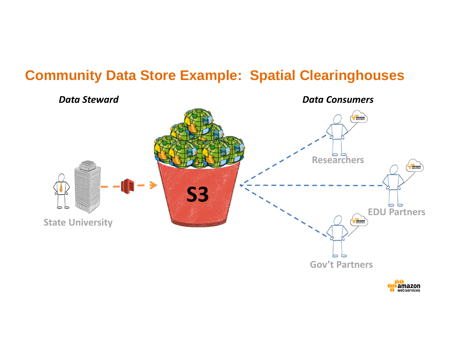#### **Community Data Store Example: Spatial Clearinghouses**